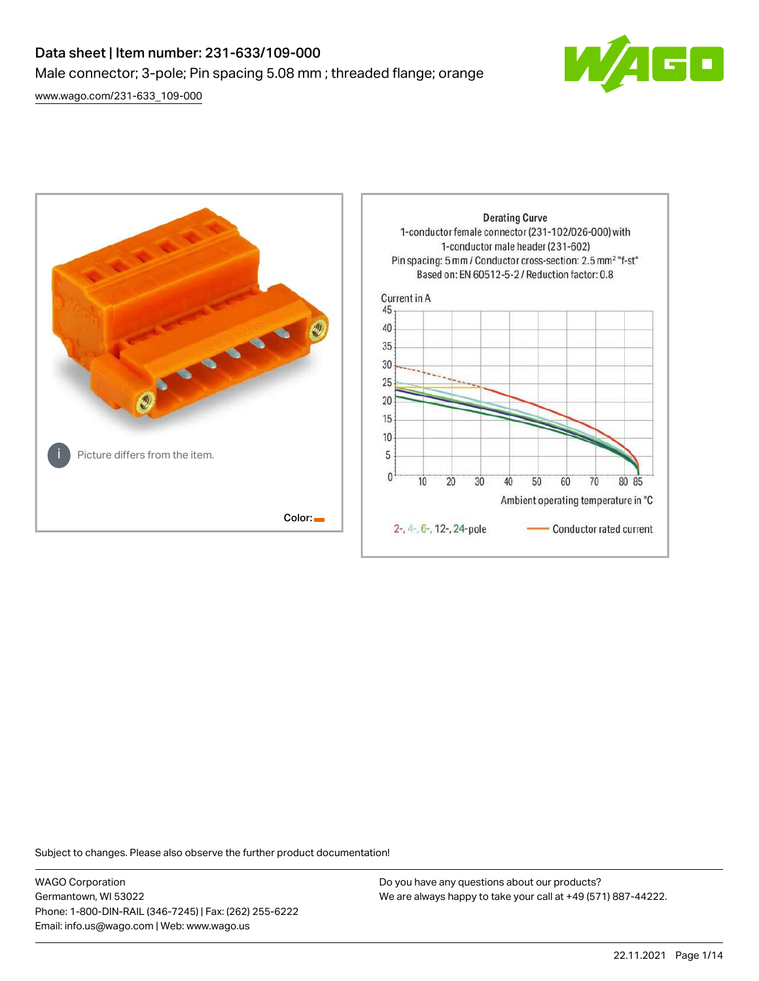# Data sheet | Item number: 231-633/109-000 Male connector; 3-pole; Pin spacing 5.08 mm ; threaded flange; orange

[www.wago.com/231-633\\_109-000](http://www.wago.com/231-633_109-000)





Subject to changes. Please also observe the further product documentation!

WAGO Corporation Germantown, WI 53022 Phone: 1-800-DIN-RAIL (346-7245) | Fax: (262) 255-6222 Email: info.us@wago.com | Web: www.wago.us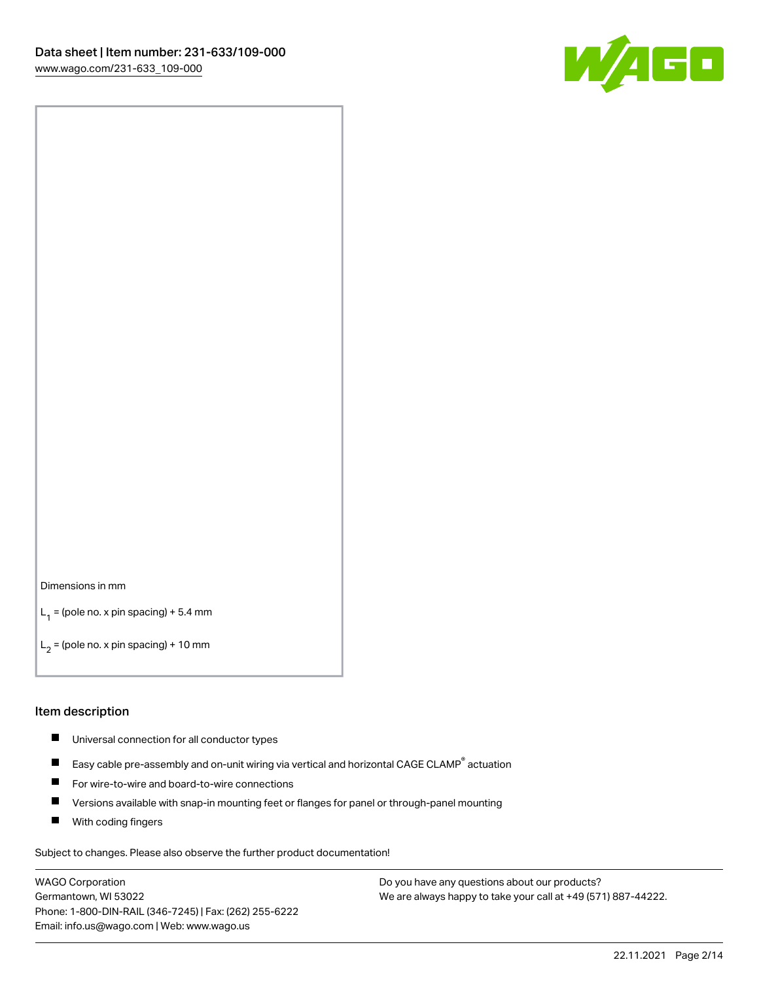

#### Dimensions in mm

 $L_1$  = (pole no. x pin spacing) + 5.4 mm

 $L_2$  = (pole no. x pin spacing) + 10 mm

#### Item description

- П Universal connection for all conductor types
- Easy cable pre-assembly and on-unit wiring via vertical and horizontal CAGE CLAMP $^\circ$  actuation П
- $\blacksquare$ For wire-to-wire and board-to-wire connections
- П Versions available with snap-in mounting feet or flanges for panel or through-panel mounting
- П With coding fingers

Subject to changes. Please also observe the further product documentation!

WAGO Corporation Germantown, WI 53022 Phone: 1-800-DIN-RAIL (346-7245) | Fax: (262) 255-6222 Email: info.us@wago.com | Web: www.wago.us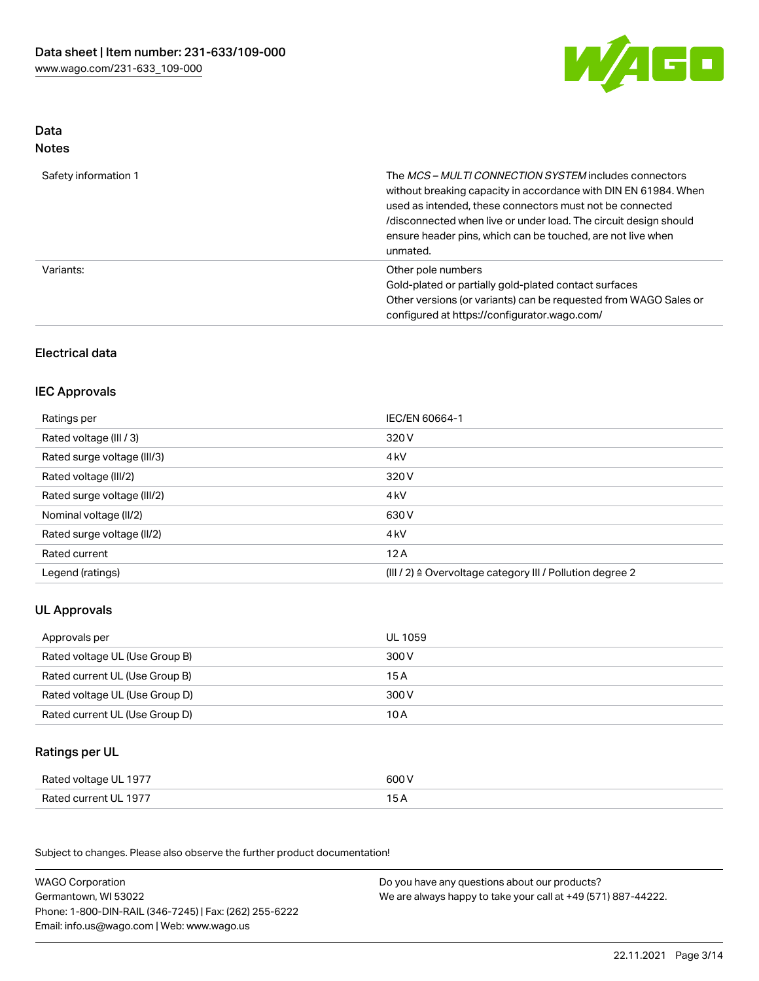

## Data Notes

| Safety information 1 | The <i>MCS – MULTI CONNECTION SYSTEM</i> includes connectors<br>without breaking capacity in accordance with DIN EN 61984. When<br>used as intended, these connectors must not be connected<br>/disconnected when live or under load. The circuit design should<br>ensure header pins, which can be touched, are not live when<br>unmated. |
|----------------------|--------------------------------------------------------------------------------------------------------------------------------------------------------------------------------------------------------------------------------------------------------------------------------------------------------------------------------------------|
| Variants:            | Other pole numbers<br>Gold-plated or partially gold-plated contact surfaces<br>Other versions (or variants) can be requested from WAGO Sales or<br>configured at https://configurator.wago.com/                                                                                                                                            |

## Electrical data

## IEC Approvals

| Ratings per                 | IEC/EN 60664-1                                                        |
|-----------------------------|-----------------------------------------------------------------------|
| Rated voltage (III / 3)     | 320 V                                                                 |
| Rated surge voltage (III/3) | 4 <sub>k</sub> V                                                      |
| Rated voltage (III/2)       | 320 V                                                                 |
| Rated surge voltage (III/2) | 4 <sub>k</sub> V                                                      |
| Nominal voltage (II/2)      | 630 V                                                                 |
| Rated surge voltage (II/2)  | 4 <sub>k</sub> V                                                      |
| Rated current               | 12A                                                                   |
| Legend (ratings)            | $(III / 2)$ $\triangle$ Overvoltage category III / Pollution degree 2 |

# UL Approvals

| Approvals per                  | UL 1059 |
|--------------------------------|---------|
| Rated voltage UL (Use Group B) | 300 V   |
| Rated current UL (Use Group B) | 15 A    |
| Rated voltage UL (Use Group D) | 300 V   |
| Rated current UL (Use Group D) | 10 A    |

# Ratings per UL

| Rated voltage UL 1977 | 600 V |
|-----------------------|-------|
| Rated current UL 1977 |       |

Subject to changes. Please also observe the further product documentation!

| <b>WAGO Corporation</b>                                | Do you have any questions about our products?                 |
|--------------------------------------------------------|---------------------------------------------------------------|
| Germantown, WI 53022                                   | We are always happy to take your call at +49 (571) 887-44222. |
| Phone: 1-800-DIN-RAIL (346-7245)   Fax: (262) 255-6222 |                                                               |
| Email: info.us@wago.com   Web: www.wago.us             |                                                               |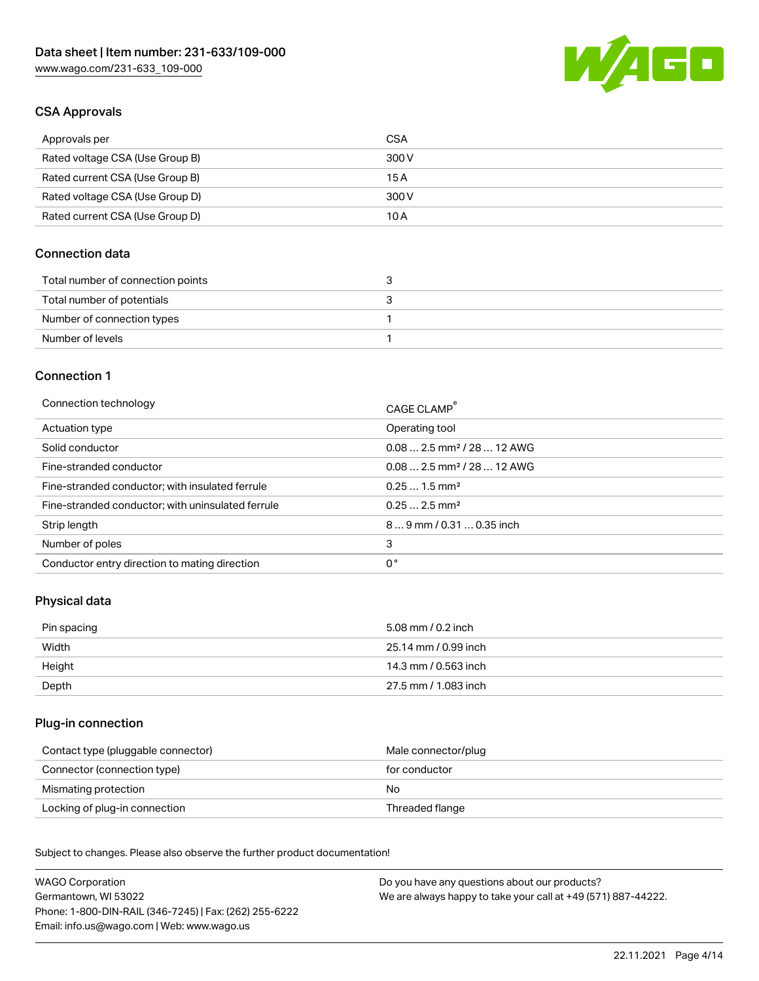

# CSA Approvals

| Approvals per                   | CSA   |
|---------------------------------|-------|
| Rated voltage CSA (Use Group B) | 300 V |
| Rated current CSA (Use Group B) | 15 A  |
| Rated voltage CSA (Use Group D) | 300 V |
| Rated current CSA (Use Group D) | 10 A  |

# Connection data

| Total number of connection points |  |
|-----------------------------------|--|
| Total number of potentials        |  |
| Number of connection types        |  |
| Number of levels                  |  |

# Connection 1

| Connection technology                             | CAGE CLAMP <sup>®</sup>                 |
|---------------------------------------------------|-----------------------------------------|
| Actuation type                                    | Operating tool                          |
| Solid conductor                                   | $0.082.5$ mm <sup>2</sup> / 28  12 AWG  |
| Fine-stranded conductor                           | $0.08$ 2.5 mm <sup>2</sup> / 28  12 AWG |
| Fine-stranded conductor; with insulated ferrule   | $0.251.5$ mm <sup>2</sup>               |
| Fine-stranded conductor; with uninsulated ferrule | $0.252.5$ mm <sup>2</sup>               |
| Strip length                                      | $89$ mm $/ 0.310.35$ inch               |
| Number of poles                                   | 3                                       |
| Conductor entry direction to mating direction     | 0°                                      |

# Physical data

| Pin spacing | 5.08 mm / 0.2 inch   |
|-------------|----------------------|
| Width       | 25.14 mm / 0.99 inch |
| Height      | 14.3 mm / 0.563 inch |
| Depth       | 27.5 mm / 1.083 inch |

## Plug-in connection

| Contact type (pluggable connector) | Male connector/plug |
|------------------------------------|---------------------|
| Connector (connection type)        | for conductor       |
| Mismating protection               | No.                 |
| Locking of plug-in connection      | Threaded flange     |

Subject to changes. Please also observe the further product documentation! Material data

| <b>WAGO Corporation</b>                                | Do you have any questions about our products?                 |
|--------------------------------------------------------|---------------------------------------------------------------|
| Germantown, WI 53022                                   | We are always happy to take your call at +49 (571) 887-44222. |
| Phone: 1-800-DIN-RAIL (346-7245)   Fax: (262) 255-6222 |                                                               |
| Email: info.us@wago.com   Web: www.wago.us             |                                                               |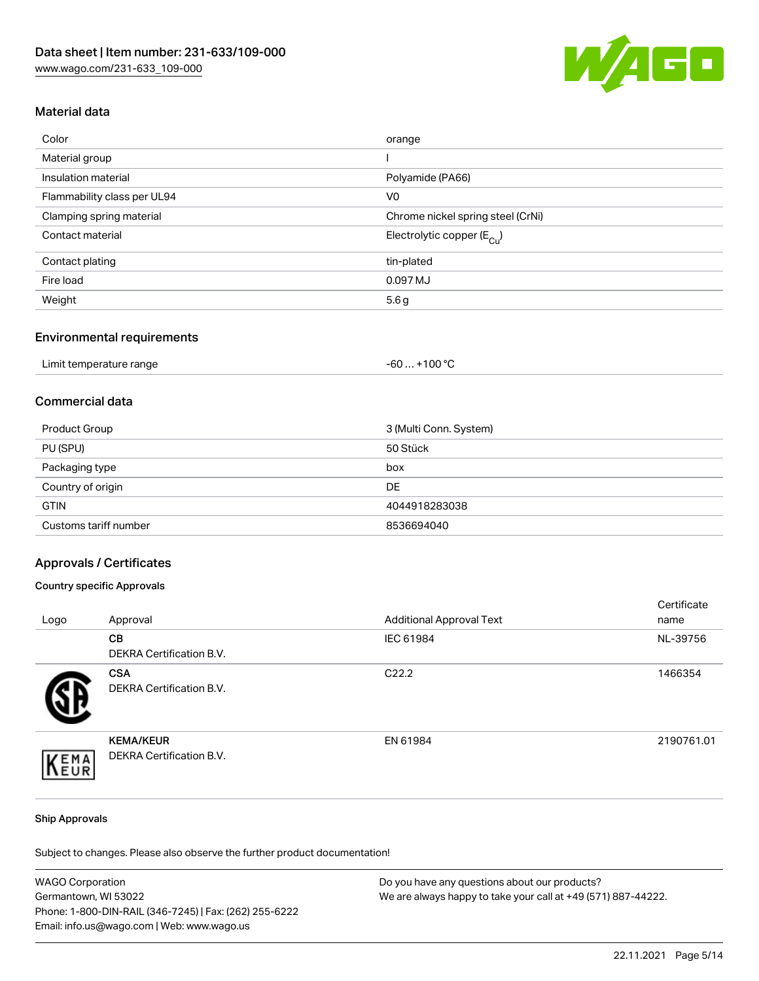

# Material data

| Color                       | orange                                 |
|-----------------------------|----------------------------------------|
| Material group              |                                        |
| Insulation material         | Polyamide (PA66)                       |
| Flammability class per UL94 | V <sub>0</sub>                         |
| Clamping spring material    | Chrome nickel spring steel (CrNi)      |
| Contact material            | Electrolytic copper (E <sub>Cu</sub> ) |
| Contact plating             | tin-plated                             |
| Fire load                   | 0.097 MJ                               |
| Weight                      | 5.6g                                   |
|                             |                                        |

#### Environmental requirements

| Limit temperature range | .+100 $^{\circ}$ C<br>-60 |
|-------------------------|---------------------------|
|-------------------------|---------------------------|

# Commercial data

| Product Group         | 3 (Multi Conn. System) |
|-----------------------|------------------------|
| PU (SPU)              | 50 Stück               |
| Packaging type        | box                    |
| Country of origin     | DE                     |
| <b>GTIN</b>           | 4044918283038          |
| Customs tariff number | 8536694040             |

## Approvals / Certificates

## Country specific Approvals

| Logo | Approval                                            | <b>Additional Approval Text</b> | Certificate<br>name |
|------|-----------------------------------------------------|---------------------------------|---------------------|
|      | <b>CB</b><br>DEKRA Certification B.V.               | IEC 61984                       | NL-39756            |
|      | <b>CSA</b><br>DEKRA Certification B.V.              | C <sub>22.2</sub>               | 1466354             |
| EMA  | <b>KEMA/KEUR</b><br><b>DEKRA Certification B.V.</b> | EN 61984                        | 2190761.01          |

#### Ship Approvals

Subject to changes. Please also observe the further product documentation!

| <b>WAGO Corporation</b>                                | Do you have any questions about our products?                 |
|--------------------------------------------------------|---------------------------------------------------------------|
| Germantown, WI 53022                                   | We are always happy to take your call at +49 (571) 887-44222. |
| Phone: 1-800-DIN-RAIL (346-7245)   Fax: (262) 255-6222 |                                                               |
| Email: info.us@wago.com   Web: www.wago.us             |                                                               |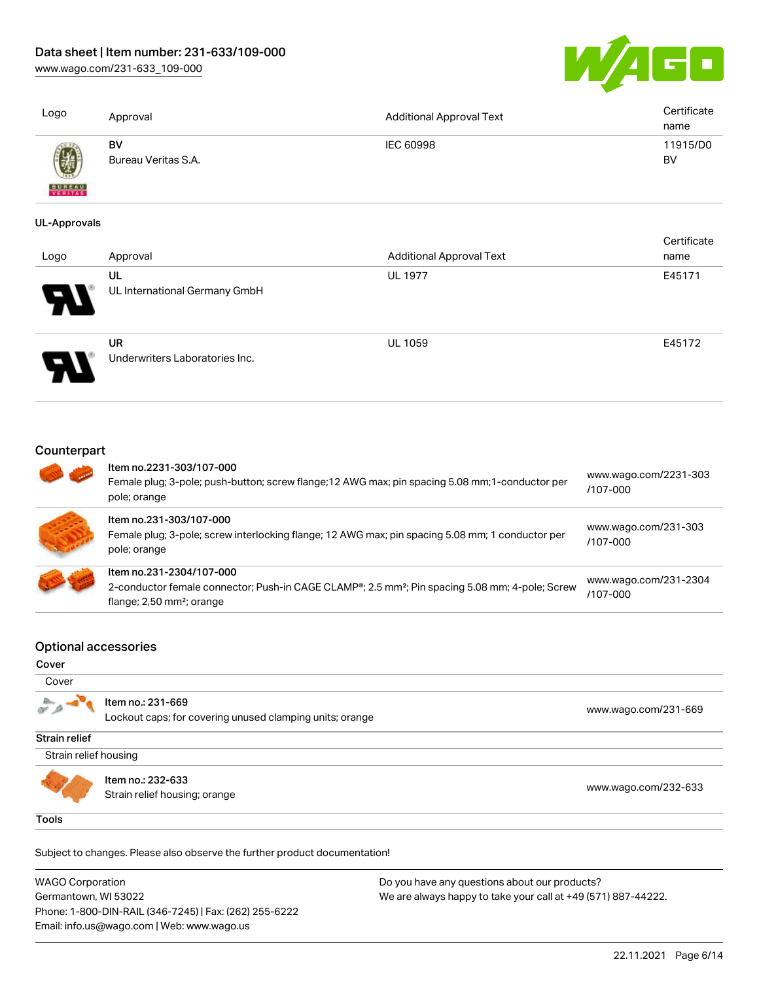[www.wago.com/231-633\\_109-000](http://www.wago.com/231-633_109-000)



| Logo                | Approval                       | <b>Additional Approval Text</b> | Certificate<br>name |
|---------------------|--------------------------------|---------------------------------|---------------------|
| <b>BUREAU</b>       | BV<br>Bureau Veritas S.A.      | IEC 60998                       | 11915/D0<br>BV      |
| <b>UL-Approvals</b> |                                |                                 |                     |
|                     |                                |                                 | Certificate         |
| Logo                | Approval                       | <b>Additional Approval Text</b> | name                |
|                     | UL                             | <b>UL 1977</b>                  | E45171              |
|                     | UL International Germany GmbH  |                                 |                     |
|                     | UR                             | <b>UL 1059</b>                  | E45172              |
|                     | Underwriters Laboratories Inc. |                                 |                     |

# **Counterpart**

| Item no.2231-303/107-000<br>Female plug; 3-pole; push-button; screw flange; 12 AWG max; pin spacing 5.08 mm; 1-conductor per<br>pole; orange                                       | www.wago.com/2231-303<br>/107-000 |
|------------------------------------------------------------------------------------------------------------------------------------------------------------------------------------|-----------------------------------|
| Item no.231-303/107-000<br>Female plug; 3-pole; screw interlocking flange; 12 AWG max; pin spacing 5.08 mm; 1 conductor per<br>pole; orange                                        | www.wago.com/231-303<br>/107-000  |
| Item no.231-2304/107-000<br>2-conductor female connector; Push-in CAGE CLAMP®; 2.5 mm <sup>2</sup> ; Pin spacing 5.08 mm; 4-pole; Screw<br>flange; $2,50$ mm <sup>2</sup> ; orange | www.wago.com/231-2304<br>/107-000 |

## Optional accessories

#### Cover

|                       | Item no.: 231-669<br>Lockout caps; for covering unused clamping units; orange | www.wago.com/231-669 |
|-----------------------|-------------------------------------------------------------------------------|----------------------|
| Strain relief         |                                                                               |                      |
| Strain relief housing |                                                                               |                      |
|                       | Item no.: 232-633                                                             |                      |
|                       | Strain relief housing; orange                                                 | www.wago.com/232-633 |

Subject to changes. Please also observe the further product documentation!

WAGO Corporation Germantown, WI 53022 Phone: 1-800-DIN-RAIL (346-7245) | Fax: (262) 255-6222 Email: info.us@wago.com | Web: www.wago.us Do you have any questions about our products? We are always happy to take your call at +49 (571) 887-44222.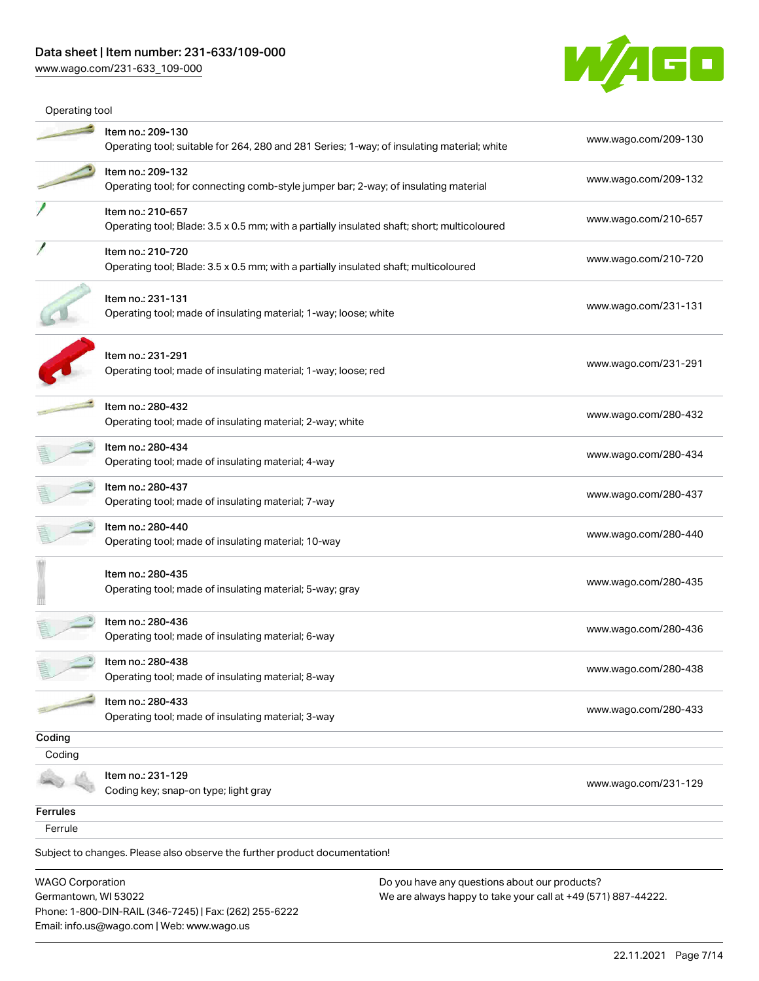[www.wago.com/231-633\\_109-000](http://www.wago.com/231-633_109-000)



| Operating tool                                  |                                                                                                                  |                                                                                                                |                      |
|-------------------------------------------------|------------------------------------------------------------------------------------------------------------------|----------------------------------------------------------------------------------------------------------------|----------------------|
|                                                 | Item no.: 209-130<br>Operating tool; suitable for 264, 280 and 281 Series; 1-way; of insulating material; white  |                                                                                                                | www.wago.com/209-130 |
|                                                 | Item no.: 209-132<br>Operating tool; for connecting comb-style jumper bar; 2-way; of insulating material         |                                                                                                                | www.wago.com/209-132 |
|                                                 | Item no.: 210-657<br>Operating tool; Blade: 3.5 x 0.5 mm; with a partially insulated shaft; short; multicoloured |                                                                                                                | www.wago.com/210-657 |
|                                                 | Item no.: 210-720<br>Operating tool; Blade: 3.5 x 0.5 mm; with a partially insulated shaft; multicoloured        |                                                                                                                | www.wago.com/210-720 |
|                                                 | Item no.: 231-131<br>Operating tool; made of insulating material; 1-way; loose; white                            |                                                                                                                | www.wago.com/231-131 |
|                                                 | Item no.: 231-291<br>Operating tool; made of insulating material; 1-way; loose; red                              |                                                                                                                | www.wago.com/231-291 |
|                                                 | Item no.: 280-432<br>Operating tool; made of insulating material; 2-way; white                                   |                                                                                                                | www.wago.com/280-432 |
|                                                 | Item no.: 280-434<br>Operating tool; made of insulating material; 4-way                                          |                                                                                                                | www.wago.com/280-434 |
|                                                 | Item no.: 280-437<br>Operating tool; made of insulating material; 7-way                                          |                                                                                                                | www.wago.com/280-437 |
|                                                 | Item no.: 280-440<br>Operating tool; made of insulating material; 10-way                                         |                                                                                                                | www.wago.com/280-440 |
|                                                 | Item no.: 280-435<br>Operating tool; made of insulating material; 5-way; gray                                    |                                                                                                                | www.wago.com/280-435 |
|                                                 | ltem no.: 280-436<br>Operating tool; made of insulating material; 6-way                                          |                                                                                                                | www.wago.com/280-436 |
|                                                 | Item no.: 280-438<br>Operating tool; made of insulating material; 8-way                                          |                                                                                                                | www.wago.com/280-438 |
|                                                 | Item no.: 280-433<br>Operating tool; made of insulating material; 3-way                                          |                                                                                                                | www.wago.com/280-433 |
| Coding                                          |                                                                                                                  |                                                                                                                |                      |
| Coding                                          |                                                                                                                  |                                                                                                                |                      |
|                                                 | Item no.: 231-129<br>Coding key; snap-on type; light gray                                                        |                                                                                                                | www.wago.com/231-129 |
| <b>Ferrules</b>                                 |                                                                                                                  |                                                                                                                |                      |
| Ferrule                                         |                                                                                                                  |                                                                                                                |                      |
|                                                 | Subject to changes. Please also observe the further product documentation!                                       |                                                                                                                |                      |
| <b>WAGO Corporation</b><br>Germantown, WI 53022 | Phone: 1-800-DIN-RAIL (346-7245)   Fax: (262) 255-6222                                                           | Do you have any questions about our products?<br>We are always happy to take your call at +49 (571) 887-44222. |                      |
|                                                 | Email: info.us@wago.com   Web: www.wago.us                                                                       |                                                                                                                |                      |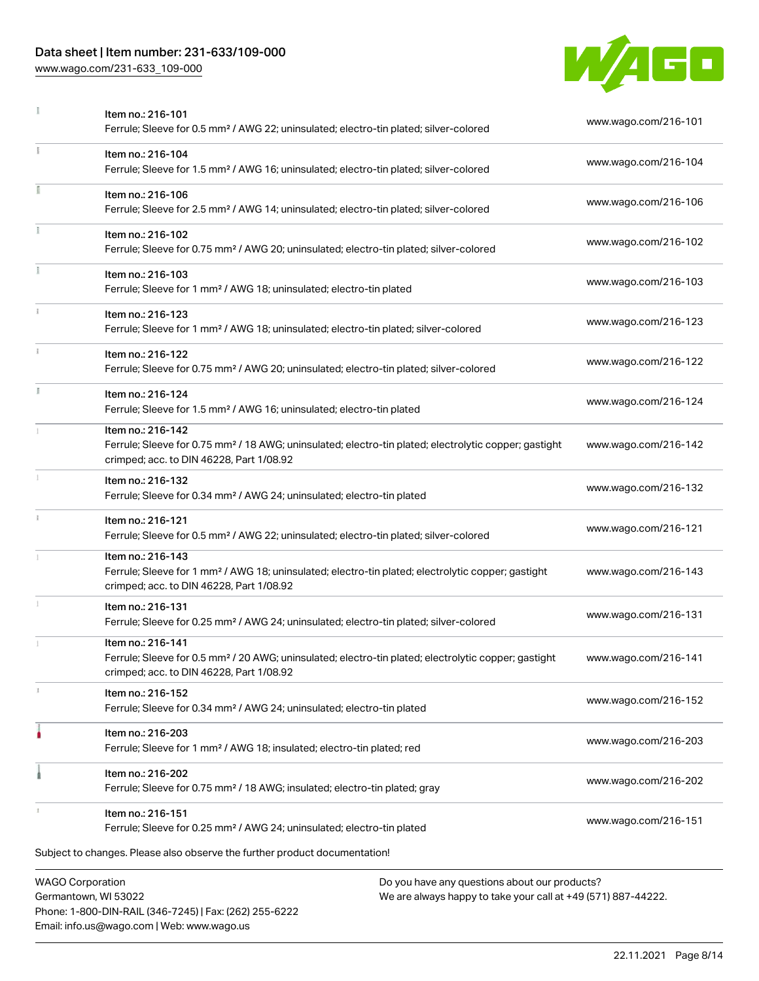# Data sheet | Item number: 231-633/109-000

[www.wago.com/231-633\\_109-000](http://www.wago.com/231-633_109-000)



|            | Item no.: 216-101<br>Ferrule; Sleeve for 0.5 mm <sup>2</sup> / AWG 22; uninsulated; electro-tin plated; silver-colored                                                             | www.wago.com/216-101 |
|------------|------------------------------------------------------------------------------------------------------------------------------------------------------------------------------------|----------------------|
|            | Item no.: 216-104<br>Ferrule; Sleeve for 1.5 mm <sup>2</sup> / AWG 16; uninsulated; electro-tin plated; silver-colored                                                             | www.wago.com/216-104 |
|            | Item no.: 216-106<br>Ferrule; Sleeve for 2.5 mm <sup>2</sup> / AWG 14; uninsulated; electro-tin plated; silver-colored                                                             | www.wago.com/216-106 |
|            | Item no.: 216-102<br>Ferrule; Sleeve for 0.75 mm <sup>2</sup> / AWG 20; uninsulated; electro-tin plated; silver-colored                                                            | www.wago.com/216-102 |
| Ĭ.         | Item no.: 216-103<br>Ferrule; Sleeve for 1 mm <sup>2</sup> / AWG 18; uninsulated; electro-tin plated                                                                               | www.wago.com/216-103 |
| ī.         | Item no.: 216-123<br>Ferrule; Sleeve for 1 mm <sup>2</sup> / AWG 18; uninsulated; electro-tin plated; silver-colored                                                               | www.wago.com/216-123 |
|            | Item no.: 216-122<br>Ferrule; Sleeve for 0.75 mm <sup>2</sup> / AWG 20; uninsulated; electro-tin plated; silver-colored                                                            | www.wago.com/216-122 |
| Ĭ.         | Item no.: 216-124<br>Ferrule; Sleeve for 1.5 mm <sup>2</sup> / AWG 16; uninsulated; electro-tin plated                                                                             | www.wago.com/216-124 |
| 1          | Item no.: 216-142<br>Ferrule; Sleeve for 0.75 mm <sup>2</sup> / 18 AWG; uninsulated; electro-tin plated; electrolytic copper; gastight<br>crimped; acc. to DIN 46228, Part 1/08.92 | www.wago.com/216-142 |
|            | Item no.: 216-132<br>Ferrule; Sleeve for 0.34 mm <sup>2</sup> / AWG 24; uninsulated; electro-tin plated                                                                            | www.wago.com/216-132 |
| $\ddot{x}$ | Item no.: 216-121<br>Ferrule; Sleeve for 0.5 mm <sup>2</sup> / AWG 22; uninsulated; electro-tin plated; silver-colored                                                             | www.wago.com/216-121 |
|            | Item no.: 216-143<br>Ferrule; Sleeve for 1 mm <sup>2</sup> / AWG 18; uninsulated; electro-tin plated; electrolytic copper; gastight<br>crimped; acc. to DIN 46228, Part 1/08.92    | www.wago.com/216-143 |
|            | Item no.: 216-131<br>Ferrule; Sleeve for 0.25 mm <sup>2</sup> / AWG 24; uninsulated; electro-tin plated; silver-colored                                                            | www.wago.com/216-131 |
| 1          | Item no.: 216-141<br>Ferrule; Sleeve for 0.5 mm <sup>2</sup> / 20 AWG; uninsulated; electro-tin plated; electrolytic copper; gastight<br>crimped; acc. to DIN 46228, Part 1/08.92  | www.wago.com/216-141 |
| z.         | Item no.: 216-152<br>Ferrule; Sleeve for 0.34 mm <sup>2</sup> / AWG 24; uninsulated; electro-tin plated                                                                            | www.wago.com/216-152 |
|            | Item no.: 216-203<br>Ferrule; Sleeve for 1 mm <sup>2</sup> / AWG 18; insulated; electro-tin plated; red                                                                            | www.wago.com/216-203 |
|            | Item no.: 216-202<br>Ferrule; Sleeve for 0.75 mm <sup>2</sup> / 18 AWG; insulated; electro-tin plated; gray                                                                        | www.wago.com/216-202 |
|            | Item no.: 216-151<br>Ferrule; Sleeve for 0.25 mm <sup>2</sup> / AWG 24; uninsulated; electro-tin plated                                                                            | www.wago.com/216-151 |
|            | Subject to changes. Please also observe the further product documentation!                                                                                                         |                      |
|            | <b>WAGO Corporation</b><br>Do you have any questions about our products?                                                                                                           |                      |

Germantown, WI 53022 Phone: 1-800-DIN-RAIL (346-7245) | Fax: (262) 255-6222 Email: info.us@wago.com | Web: www.wago.us

We are always happy to take your call at +49 (571) 887-44222.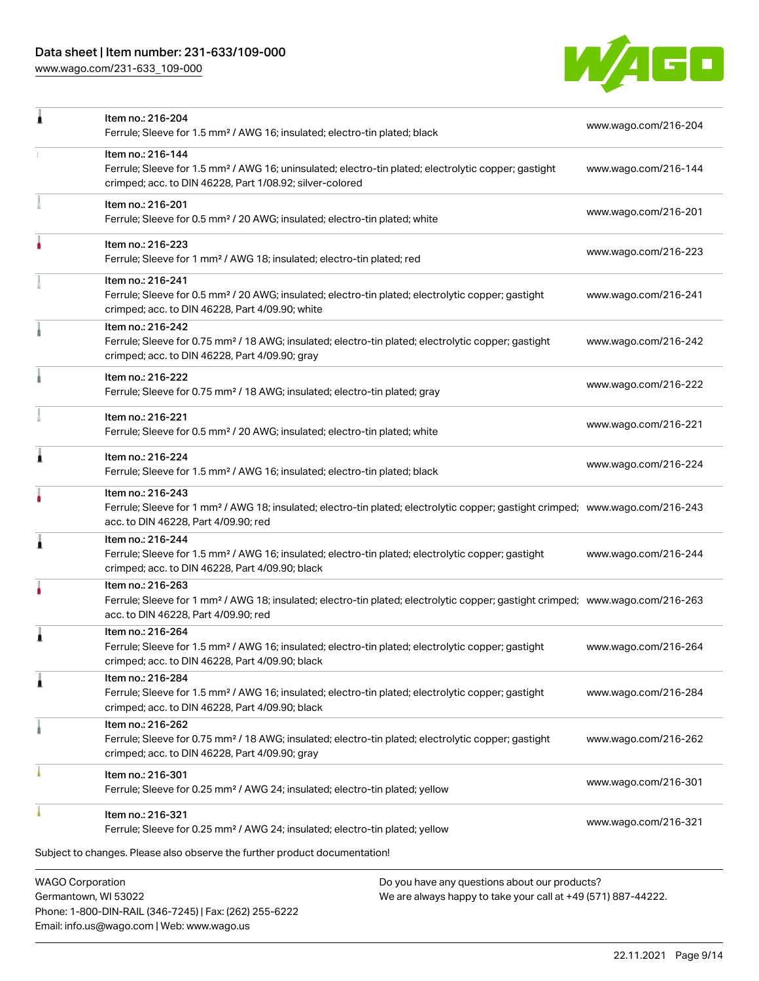# Data sheet | Item number: 231-633/109-000

[www.wago.com/231-633\\_109-000](http://www.wago.com/231-633_109-000)



| ╻ | Item no.: 216-204                                                                                                                                                                                       | www.wago.com/216-204 |
|---|---------------------------------------------------------------------------------------------------------------------------------------------------------------------------------------------------------|----------------------|
|   | Ferrule; Sleeve for 1.5 mm <sup>2</sup> / AWG 16; insulated; electro-tin plated; black                                                                                                                  |                      |
|   | Item no.: 216-144<br>Ferrule; Sleeve for 1.5 mm <sup>2</sup> / AWG 16; uninsulated; electro-tin plated; electrolytic copper; gastight<br>crimped; acc. to DIN 46228, Part 1/08.92; silver-colored       | www.wago.com/216-144 |
|   | Item no.: 216-201<br>Ferrule; Sleeve for 0.5 mm <sup>2</sup> / 20 AWG; insulated; electro-tin plated; white                                                                                             | www.wago.com/216-201 |
|   | Item no.: 216-223<br>Ferrule; Sleeve for 1 mm <sup>2</sup> / AWG 18; insulated; electro-tin plated; red                                                                                                 | www.wago.com/216-223 |
|   | Item no.: 216-241<br>Ferrule; Sleeve for 0.5 mm <sup>2</sup> / 20 AWG; insulated; electro-tin plated; electrolytic copper; gastight<br>crimped; acc. to DIN 46228, Part 4/09.90; white                  | www.wago.com/216-241 |
|   | Item no.: 216-242<br>Ferrule; Sleeve for 0.75 mm <sup>2</sup> / 18 AWG; insulated; electro-tin plated; electrolytic copper; gastight<br>crimped; acc. to DIN 46228, Part 4/09.90; gray                  | www.wago.com/216-242 |
|   | Item no.: 216-222<br>Ferrule; Sleeve for 0.75 mm <sup>2</sup> / 18 AWG; insulated; electro-tin plated; gray                                                                                             | www.wago.com/216-222 |
|   | Item no.: 216-221<br>Ferrule; Sleeve for 0.5 mm <sup>2</sup> / 20 AWG; insulated; electro-tin plated; white                                                                                             | www.wago.com/216-221 |
| 1 | Item no.: 216-224<br>Ferrule; Sleeve for 1.5 mm <sup>2</sup> / AWG 16; insulated; electro-tin plated; black                                                                                             | www.wago.com/216-224 |
|   | Item no.: 216-243<br>Ferrule; Sleeve for 1 mm <sup>2</sup> / AWG 18; insulated; electro-tin plated; electrolytic copper; gastight crimped; www.wago.com/216-243<br>acc. to DIN 46228, Part 4/09.90; red |                      |
| 1 | Item no.: 216-244<br>Ferrule; Sleeve for 1.5 mm <sup>2</sup> / AWG 16; insulated; electro-tin plated; electrolytic copper; gastight<br>crimped; acc. to DIN 46228, Part 4/09.90; black                  | www.wago.com/216-244 |
|   | Item no.: 216-263<br>Ferrule; Sleeve for 1 mm <sup>2</sup> / AWG 18; insulated; electro-tin plated; electrolytic copper; gastight crimped; www.wago.com/216-263<br>acc. to DIN 46228, Part 4/09.90; red |                      |
|   | Item no.: 216-264<br>Ferrule; Sleeve for 1.5 mm <sup>2</sup> / AWG 16; insulated; electro-tin plated; electrolytic copper; gastight<br>crimped; acc. to DIN 46228, Part 4/09.90; black                  | www.wago.com/216-264 |
| 1 | Item no.: 216-284<br>Ferrule; Sleeve for 1.5 mm <sup>2</sup> / AWG 16; insulated; electro-tin plated; electrolytic copper; gastight<br>crimped; acc. to DIN 46228, Part 4/09.90; black                  | www.wago.com/216-284 |
|   | Item no.: 216-262<br>Ferrule; Sleeve for 0.75 mm <sup>2</sup> / 18 AWG; insulated; electro-tin plated; electrolytic copper; gastight<br>crimped; acc. to DIN 46228, Part 4/09.90; gray                  | www.wago.com/216-262 |
|   | Item no.: 216-301<br>Ferrule; Sleeve for 0.25 mm <sup>2</sup> / AWG 24; insulated; electro-tin plated; yellow                                                                                           | www.wago.com/216-301 |
|   | Item no.: 216-321<br>Ferrule; Sleeve for 0.25 mm <sup>2</sup> / AWG 24; insulated; electro-tin plated; yellow                                                                                           | www.wago.com/216-321 |
|   | Subject to changes. Please also observe the further product documentation!                                                                                                                              |                      |
|   | <b>WAGO Corporation</b><br>Do you have any questions about our products?                                                                                                                                |                      |
|   |                                                                                                                                                                                                         |                      |

Germantown, WI 53022 Phone: 1-800-DIN-RAIL (346-7245) | Fax: (262) 255-6222 Email: info.us@wago.com | Web: www.wago.us

We are always happy to take your call at +49 (571) 887-44222.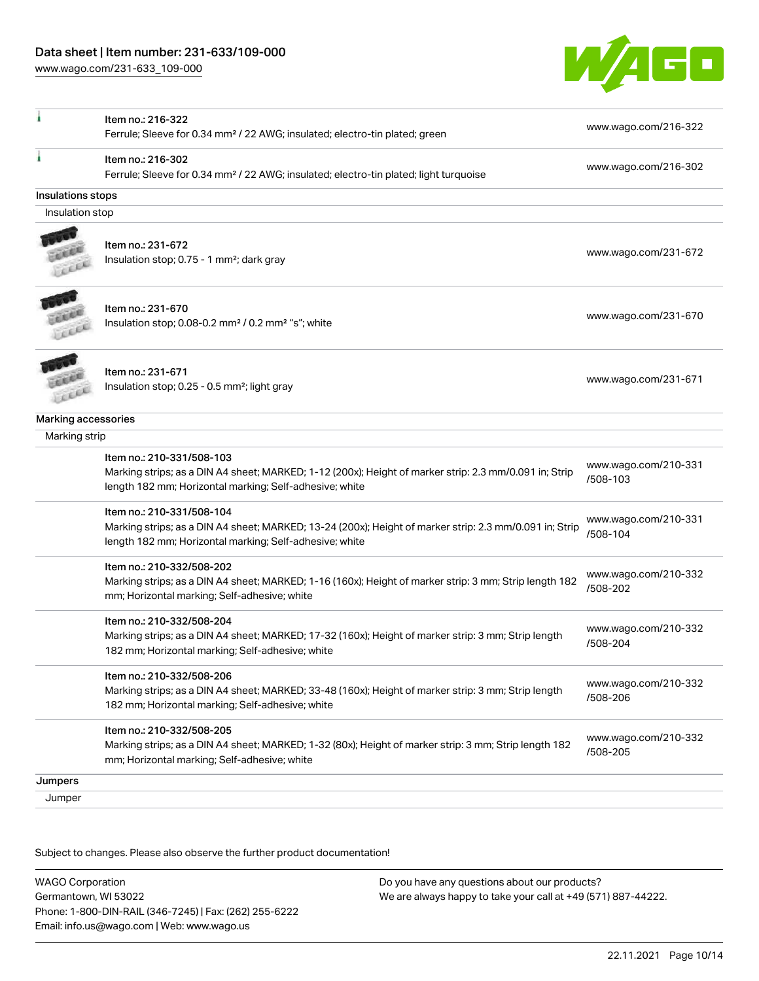

| Item no.: 216-302<br>www.wago.com/216-302<br>Ferrule; Sleeve for 0.34 mm <sup>2</sup> / 22 AWG; insulated; electro-tin plated; light turquoise<br>Insulations stops<br>Insulation stop<br>Item no.: 231-672<br>www.wago.com/231-672<br>Insulation stop; 0.75 - 1 mm <sup>2</sup> ; dark gray<br>Item no.: 231-670<br>www.wago.com/231-670<br>Insulation stop; 0.08-0.2 mm <sup>2</sup> / 0.2 mm <sup>2</sup> "s"; white<br>Item no.: 231-671<br>www.wago.com/231-671<br>Insulation stop; 0.25 - 0.5 mm <sup>2</sup> ; light gray<br>Marking accessories<br>Marking strip<br>Item no.: 210-331/508-103<br>www.wago.com/210-331<br>Marking strips; as a DIN A4 sheet; MARKED; 1-12 (200x); Height of marker strip: 2.3 mm/0.091 in; Strip<br>/508-103 | www.wago.com/216-322 |
|-----------------------------------------------------------------------------------------------------------------------------------------------------------------------------------------------------------------------------------------------------------------------------------------------------------------------------------------------------------------------------------------------------------------------------------------------------------------------------------------------------------------------------------------------------------------------------------------------------------------------------------------------------------------------------------------------------------------------------------------------------|----------------------|
|                                                                                                                                                                                                                                                                                                                                                                                                                                                                                                                                                                                                                                                                                                                                                     |                      |
|                                                                                                                                                                                                                                                                                                                                                                                                                                                                                                                                                                                                                                                                                                                                                     |                      |
|                                                                                                                                                                                                                                                                                                                                                                                                                                                                                                                                                                                                                                                                                                                                                     |                      |
|                                                                                                                                                                                                                                                                                                                                                                                                                                                                                                                                                                                                                                                                                                                                                     |                      |
|                                                                                                                                                                                                                                                                                                                                                                                                                                                                                                                                                                                                                                                                                                                                                     |                      |
|                                                                                                                                                                                                                                                                                                                                                                                                                                                                                                                                                                                                                                                                                                                                                     |                      |
|                                                                                                                                                                                                                                                                                                                                                                                                                                                                                                                                                                                                                                                                                                                                                     |                      |
|                                                                                                                                                                                                                                                                                                                                                                                                                                                                                                                                                                                                                                                                                                                                                     |                      |
| length 182 mm; Horizontal marking; Self-adhesive; white                                                                                                                                                                                                                                                                                                                                                                                                                                                                                                                                                                                                                                                                                             |                      |
| Item no.: 210-331/508-104<br>www.wago.com/210-331<br>Marking strips; as a DIN A4 sheet; MARKED; 13-24 (200x); Height of marker strip: 2.3 mm/0.091 in; Strip<br>/508-104<br>length 182 mm; Horizontal marking; Self-adhesive; white                                                                                                                                                                                                                                                                                                                                                                                                                                                                                                                 |                      |
| Item no.: 210-332/508-202<br>www.wago.com/210-332<br>Marking strips; as a DIN A4 sheet; MARKED; 1-16 (160x); Height of marker strip: 3 mm; Strip length 182<br>/508-202<br>mm; Horizontal marking; Self-adhesive; white                                                                                                                                                                                                                                                                                                                                                                                                                                                                                                                             |                      |
| Item no.: 210-332/508-204<br>www.wago.com/210-332<br>Marking strips; as a DIN A4 sheet; MARKED; 17-32 (160x); Height of marker strip: 3 mm; Strip length<br>/508-204<br>182 mm; Horizontal marking; Self-adhesive; white                                                                                                                                                                                                                                                                                                                                                                                                                                                                                                                            |                      |
| Item no.: 210-332/508-206<br>www.wago.com/210-332<br>Marking strips; as a DIN A4 sheet; MARKED; 33-48 (160x); Height of marker strip: 3 mm; Strip length<br>/508-206<br>182 mm; Horizontal marking; Self-adhesive; white                                                                                                                                                                                                                                                                                                                                                                                                                                                                                                                            |                      |
| Item no.: 210-332/508-205<br>www.wago.com/210-332<br>Marking strips; as a DIN A4 sheet; MARKED; 1-32 (80x); Height of marker strip: 3 mm; Strip length 182<br>/508-205<br>mm; Horizontal marking; Self-adhesive; white                                                                                                                                                                                                                                                                                                                                                                                                                                                                                                                              |                      |
| <b>Jumpers</b>                                                                                                                                                                                                                                                                                                                                                                                                                                                                                                                                                                                                                                                                                                                                      |                      |
| Jumper                                                                                                                                                                                                                                                                                                                                                                                                                                                                                                                                                                                                                                                                                                                                              |                      |

Subject to changes. Please also observe the further product documentation!

WAGO Corporation Germantown, WI 53022 Phone: 1-800-DIN-RAIL (346-7245) | Fax: (262) 255-6222 Email: info.us@wago.com | Web: www.wago.us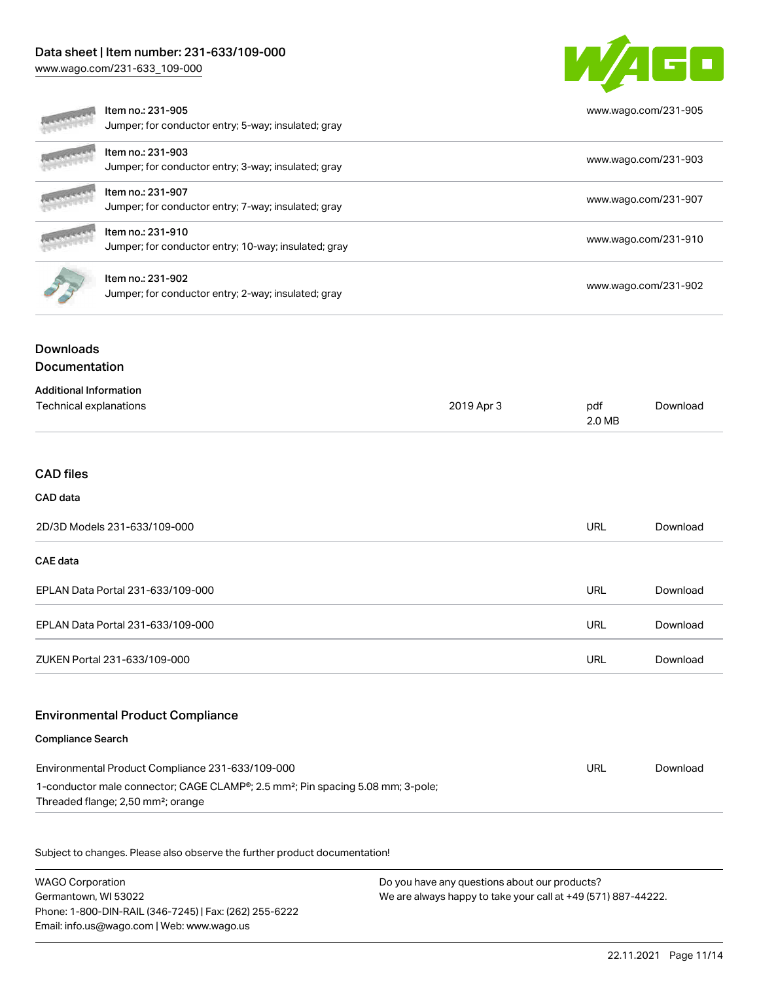# Data sheet | Item number: 231-633/109-000

[www.wago.com/231-633\\_109-000](http://www.wago.com/231-633_109-000)



|                                                         | Item no.: 231-905<br>Jumper; for conductor entry; 5-way; insulated; gray                    |            |               | www.wago.com/231-905 |
|---------------------------------------------------------|---------------------------------------------------------------------------------------------|------------|---------------|----------------------|
|                                                         | Item no.: 231-903<br>Jumper; for conductor entry; 3-way; insulated; gray                    |            |               | www.wago.com/231-903 |
|                                                         | Item no.: 231-907<br>Jumper; for conductor entry; 7-way; insulated; gray                    |            |               | www.wago.com/231-907 |
|                                                         | Item no.: 231-910<br>Jumper; for conductor entry; 10-way; insulated; gray                   |            |               | www.wago.com/231-910 |
|                                                         | Item no.: 231-902<br>Jumper; for conductor entry; 2-way; insulated; gray                    |            |               | www.wago.com/231-902 |
| <b>Downloads</b>                                        |                                                                                             |            |               |                      |
| Documentation                                           |                                                                                             |            |               |                      |
| <b>Additional Information</b><br>Technical explanations |                                                                                             | 2019 Apr 3 | pdf<br>2.0 MB | Download             |
| <b>CAD</b> files                                        |                                                                                             |            |               |                      |
| CAD data                                                |                                                                                             |            |               |                      |
|                                                         | 2D/3D Models 231-633/109-000                                                                |            | <b>URL</b>    | Download             |
| CAE data                                                |                                                                                             |            |               |                      |
|                                                         | EPLAN Data Portal 231-633/109-000                                                           |            | <b>URL</b>    | Download             |
|                                                         | EPLAN Data Portal 231-633/109-000                                                           |            | <b>URL</b>    | Download             |
|                                                         | ZUKEN Portal 231-633/109-000                                                                |            | <b>URL</b>    | Download             |
|                                                         | <b>Environmental Product Compliance</b>                                                     |            |               |                      |
| <b>Compliance Search</b>                                |                                                                                             |            |               |                      |
|                                                         | Environmental Product Compliance 231-633/109-000                                            |            | <b>URL</b>    | Download             |
|                                                         | 1-conductor male connector; CAGE CLAMP®; 2.5 mm <sup>2</sup> ; Pin spacing 5.08 mm; 3-pole; |            |               |                      |

Threaded flange; 2,50 mm²; orange

Subject to changes. Please also observe the further product documentation!

WAGO Corporation Germantown, WI 53022 Phone: 1-800-DIN-RAIL (346-7245) | Fax: (262) 255-6222 Email: info.us@wago.com | Web: www.wago.us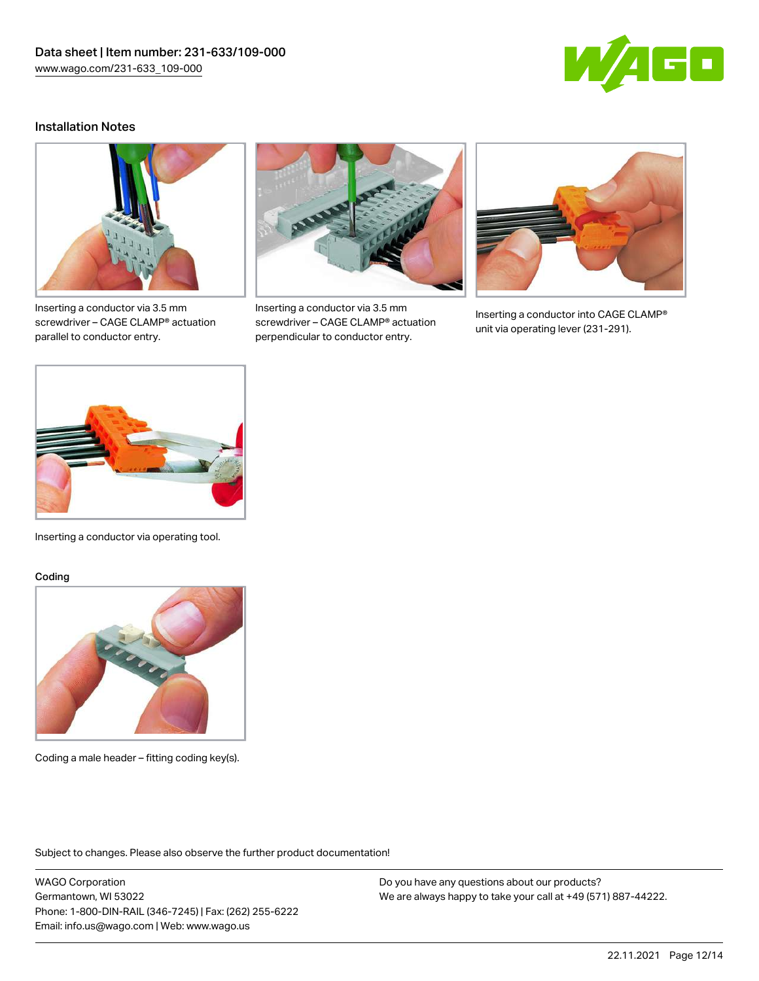

## Installation Notes



Inserting a conductor via 3.5 mm screwdriver – CAGE CLAMP® actuation parallel to conductor entry.



Inserting a conductor via 3.5 mm screwdriver – CAGE CLAMP® actuation perpendicular to conductor entry.



Inserting a conductor into CAGE CLAMP® unit via operating lever (231-291).



Inserting a conductor via operating tool.

#### Coding



Coding a male header – fitting coding key(s).

Subject to changes. Please also observe the further product documentation!

WAGO Corporation Germantown, WI 53022 Phone: 1-800-DIN-RAIL (346-7245) | Fax: (262) 255-6222 Email: info.us@wago.com | Web: www.wago.us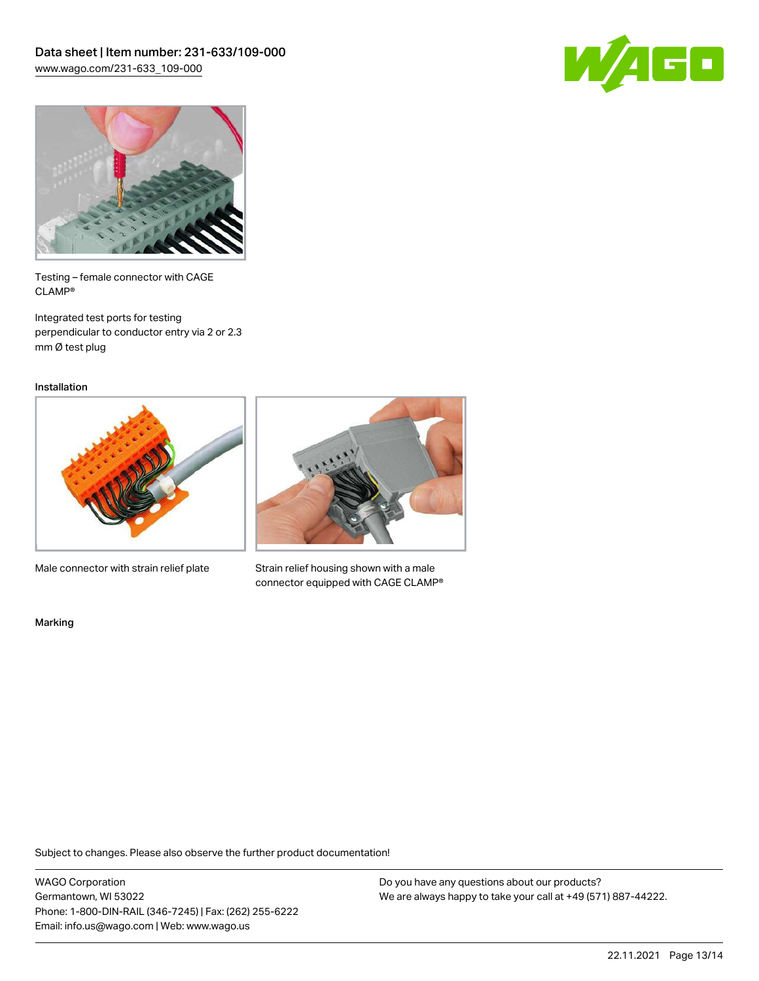



Testing – female connector with CAGE CLAMP®

Integrated test ports for testing perpendicular to conductor entry via 2 or 2.3 mm Ø test plug

Installation



Male connector with strain relief plate



Strain relief housing shown with a male connector equipped with CAGE CLAMP®

Marking

Subject to changes. Please also observe the further product documentation!

WAGO Corporation Germantown, WI 53022 Phone: 1-800-DIN-RAIL (346-7245) | Fax: (262) 255-6222 Email: info.us@wago.com | Web: www.wago.us